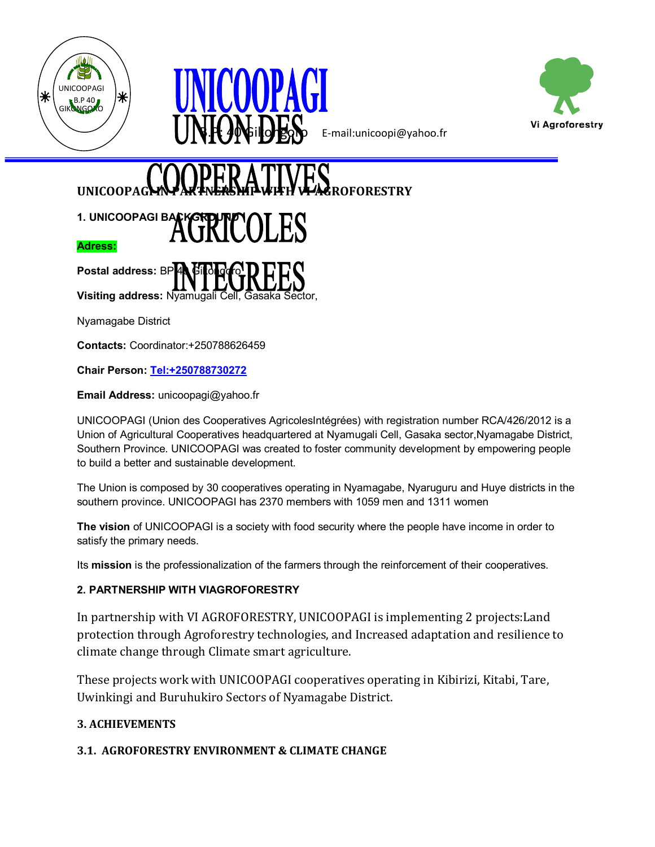





B.P: 40 Gikongoro E-mail:unicoopi@yahoo.fr

# **UNICOOPA**

# 1. UNICOOPAGI BACKGROUNDOLES **Adress:**

**Postal address: BP Visiting address:** Nyamugali Cell, Gasaka Sector,

Nyamagabe District

**Contacts:** Coordinator:+250788626459

**Chair Person: [Tel:+250788730272](tel:+250788730272)**

**Email Address:** unicoopagi@yahoo.fr

UNICOOPAGI (Union des Cooperatives AgricolesIntégrées) with registration number RCA/426/2012 is a Union of Agricultural Cooperatives headquartered at Nyamugali Cell, Gasaka sector,Nyamagabe District, Southern Province. UNICOOPAGI was created to foster community development by empowering people to build a better and sustainable development.

The Union is composed by 30 cooperatives operating in Nyamagabe, Nyaruguru and Huye districts in the southern province. UNICOOPAGI has 2370 members with 1059 men and 1311 women

**The vision** of UNICOOPAGI is a society with food security where the people have income in order to satisfy the primary needs.

Its **mission** is the professionalization of the farmers through the reinforcement of their cooperatives.

#### **2. PARTNERSHIP WITH VIAGROFORESTRY**

In partnership with VI AGROFORESTRY, UNICOOPAGI is implementing 2 projects:Land protection through Agroforestry technologies, and Increased adaptation and resilience to climate change through Climate smart agriculture.

These projects work with UNICOOPAGI cooperatives operating in Kibirizi, Kitabi, Tare, Uwinkingi and Buruhukiro Sectors of Nyamagabe District.

# **3. ACHIEVEMENTS**

# **3.1. AGROFORESTRY ENVIRONMENT & CLIMATE CHANGE**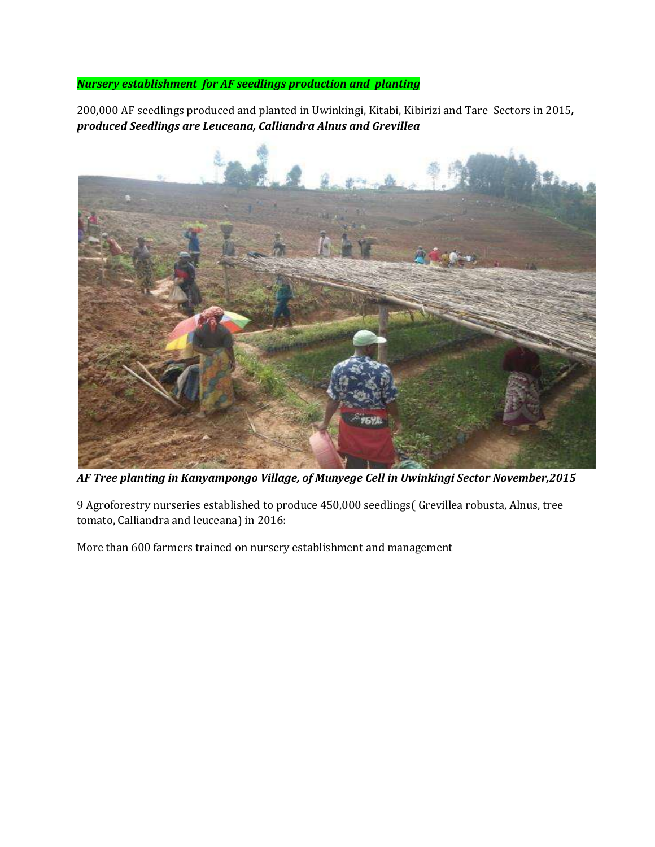## *Nursery establishment for AF seedlings production and planting*

200,000 AF seedlings produced and planted in Uwinkingi, Kitabi, Kibirizi and Tare Sectors in 2015*, produced Seedlings are Leuceana, Calliandra Alnus and Grevillea*



*AF Tree planting in Kanyampongo Village, of Munyege Cell in Uwinkingi Sector November,2015*

9 Agroforestry nurseries established to produce 450,000 seedlings( Grevillea robusta, Alnus, tree tomato, Calliandra and leuceana) in 2016:

More than 600 farmers trained on nursery establishment and management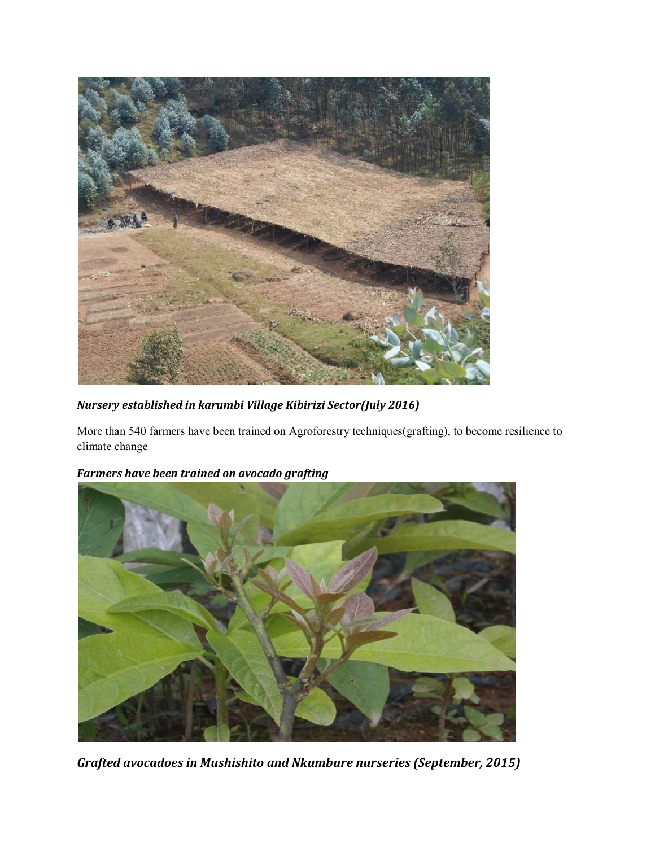

*Nursery established in karumbi Village Kibirizi Sector(July 2016)*

More than 540 farmers have been trained on Agroforestry techniques(grafting), to become resilience to climate change



*Farmers have been trained on avocado grafting*

*Grafted avocadoes in Mushishito and Nkumbure nurseries (September, 2015)*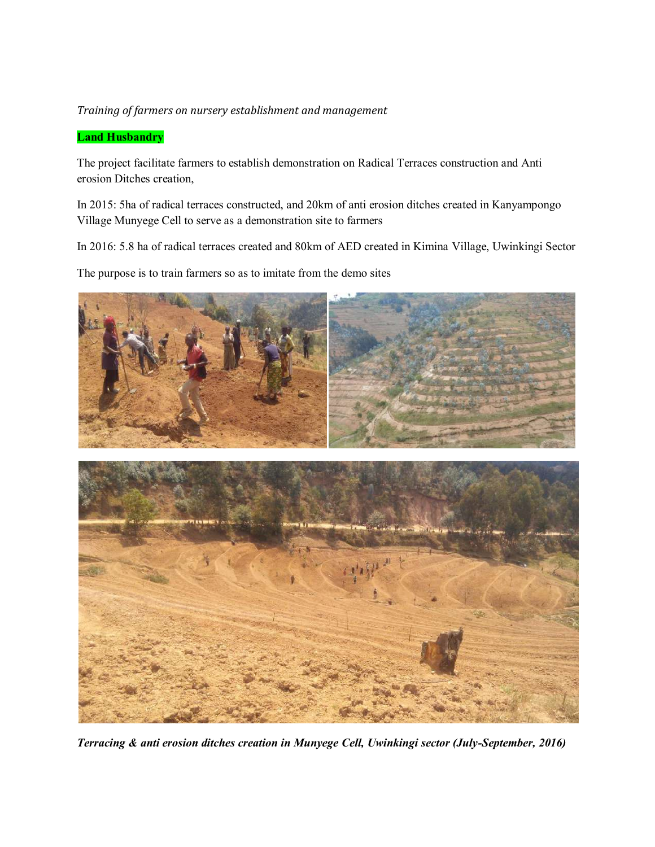#### *Training of farmers on nursery establishment and management*

#### **Land Husbandry**

The project facilitate farmers to establish demonstration on Radical Terraces construction and Anti erosion Ditches creation,

In 2015: 5ha of radical terraces constructed, and 20km of anti erosion ditches created in Kanyampongo Village Munyege Cell to serve as a demonstration site to farmers

In 2016: 5.8 ha of radical terraces created and 80km of AED created in Kimina Village, Uwinkingi Sector

The purpose is to train farmers so as to imitate from the demo sites



*Terracing & anti erosion ditches creation in Munyege Cell, Uwinkingi sector (July-September, 2016)*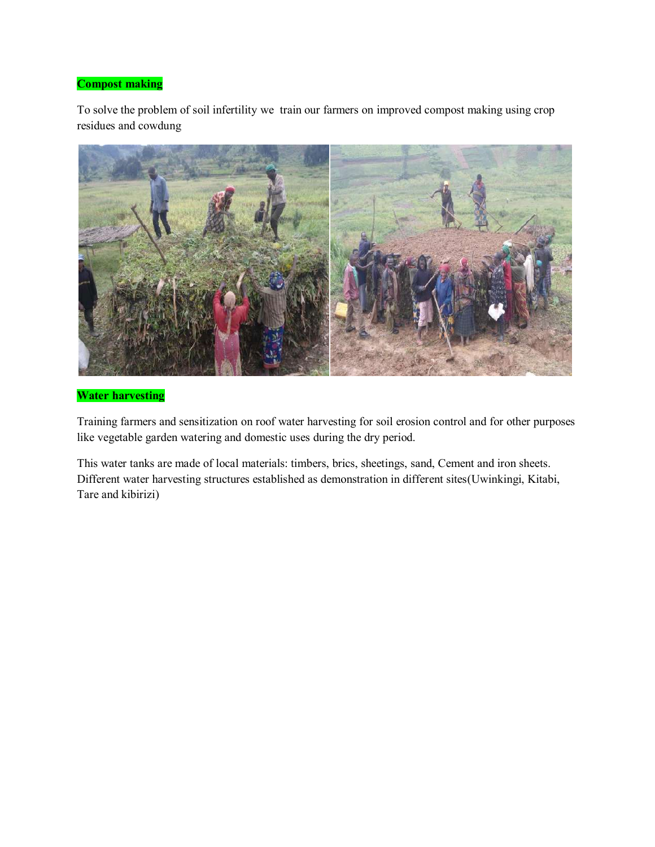#### **Compost making**

To solve the problem of soil infertility we train our farmers on improved compost making using crop residues and cowdung



#### **Water harvesting**

Training farmers and sensitization on roof water harvesting for soil erosion control and for other purposes like vegetable garden watering and domestic uses during the dry period.

This water tanks are made of local materials: timbers, brics, sheetings, sand, Cement and iron sheets. Different water harvesting structures established as demonstration in different sites(Uwinkingi, Kitabi, Tare and kibirizi)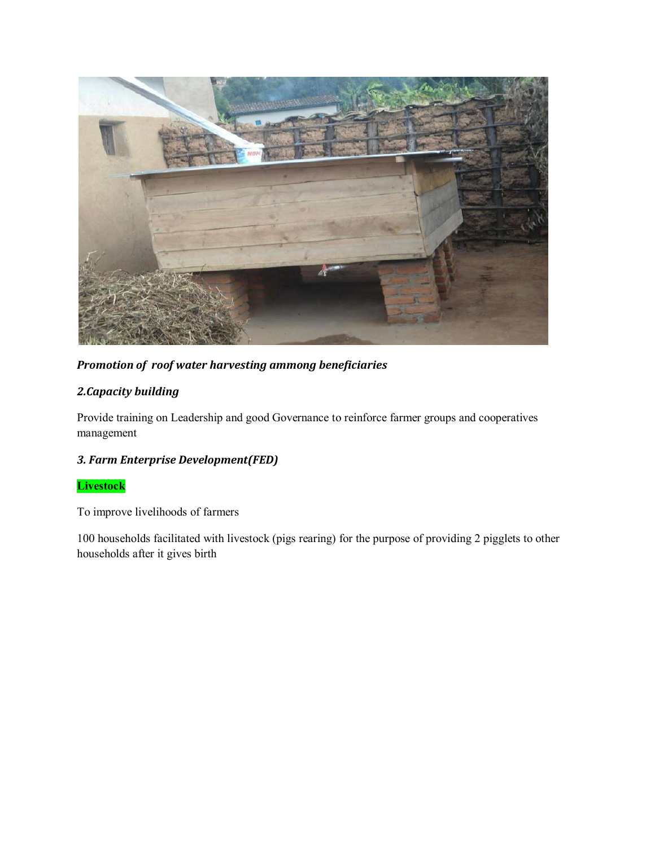

*Promotion of roof water harvesting ammong beneficiaries*

# *2.Capacity building*

Provide training on Leadership and good Governance to reinforce farmer groups and cooperatives management

# *3. Farm Enterprise Development(FED)*

**Livestock**

To improve livelihoods of farmers

100 households facilitated with livestock (pigs rearing) for the purpose of providing 2 pigglets to other households after it gives birth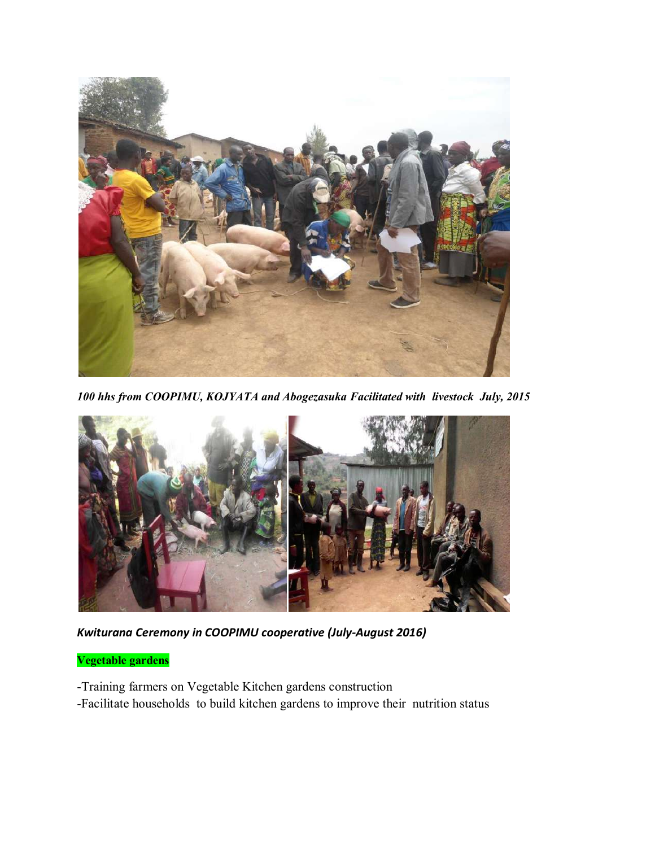

*100 hhs from COOPIMU, KOJYATA and Abogezasuka Facilitated with livestock July, 2015*



*Kwiturana Ceremony in COOPIMU cooperative (July-August 2016)*

## **Vegetable gardens**

- -Training farmers on Vegetable Kitchen gardens construction
- -Facilitate households to build kitchen gardens to improve their nutrition status